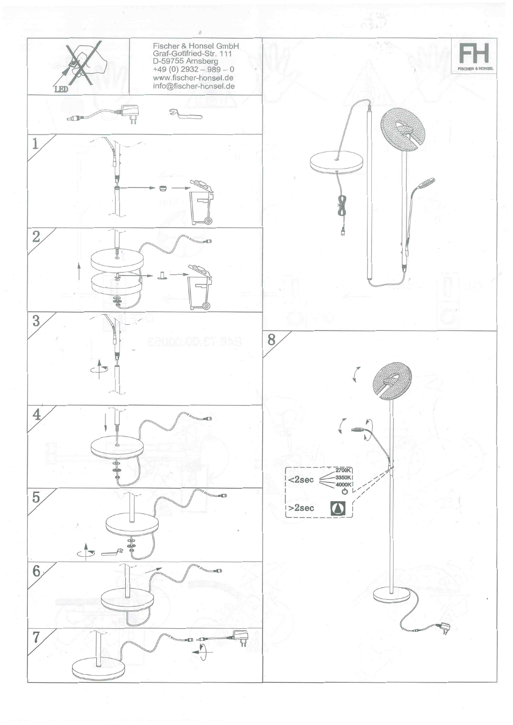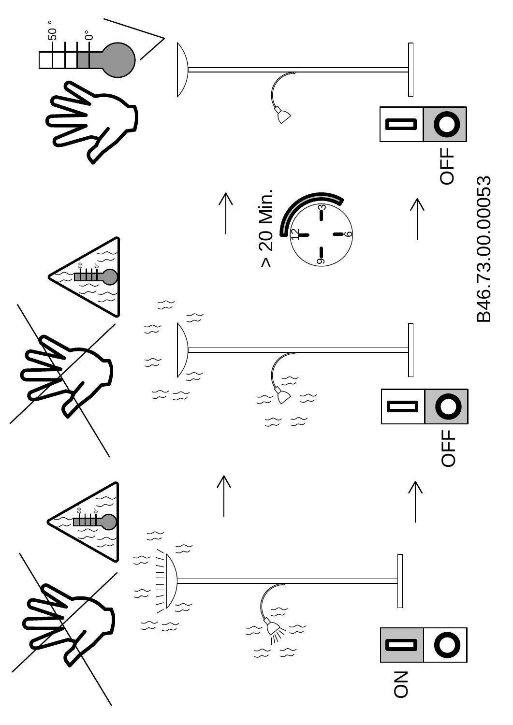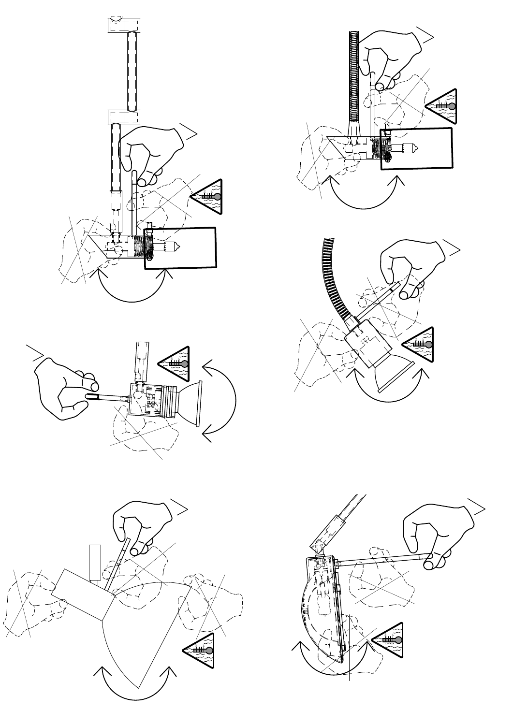









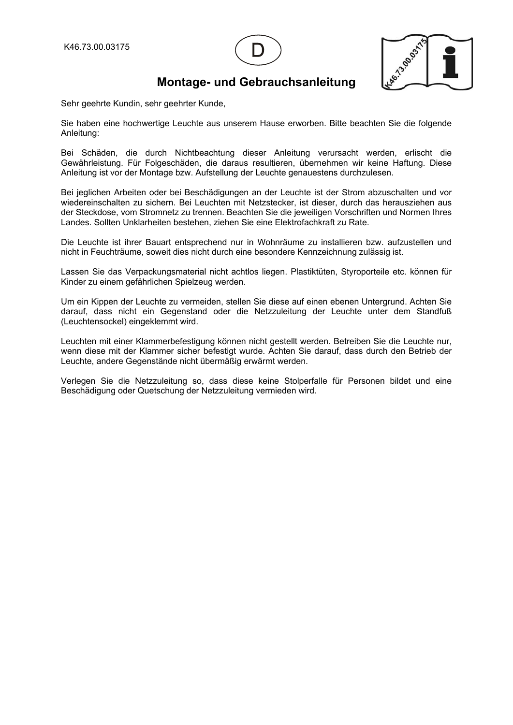



# **Montage- und Gebrauchsanleitung**

Sehr geehrte Kundin, sehr geehrter Kunde,

Sie haben eine hochwertige Leuchte aus unserem Hause erworben. Bitte beachten Sie die folgende Anleitung:

Bei Schäden, die durch Nichtbeachtung dieser Anleitung verursacht werden, erlischt die Gewährleistung. Für Folgeschäden, die daraus resultieren, übernehmen wir keine Haftung. Diese Anleitung ist vor der Montage bzw. Aufstellung der Leuchte genauestens durchzulesen.

Bei jeglichen Arbeiten oder bei Beschädigungen an der Leuchte ist der Strom abzuschalten und vor wiedereinschalten zu sichern. Bei Leuchten mit Netzstecker, ist dieser, durch das herausziehen aus der Steckdose, vom Stromnetz zu trennen. Beachten Sie die jeweiligen Vorschriften und Normen Ihres Landes. Sollten Unklarheiten bestehen, ziehen Sie eine Elektrofachkraft zu Rate.

Die Leuchte ist ihrer Bauart entsprechend nur in Wohnräume zu installieren bzw. aufzustellen und nicht in Feuchträume, soweit dies nicht durch eine besondere Kennzeichnung zulässig ist.

Lassen Sie das Verpackungsmaterial nicht achtlos liegen. Plastiktüten, Styroporteile etc. können für Kinder zu einem gefährlichen Spielzeug werden.

Um ein Kippen der Leuchte zu vermeiden, stellen Sie diese auf einen ebenen Untergrund. Achten Sie darauf, dass nicht ein Gegenstand oder die Netzzuleitung der Leuchte unter dem Standfuß (Leuchtensockel) eingeklemmt wird.

Leuchten mit einer Klammerbefestigung können nicht gestellt werden. Betreiben Sie die Leuchte nur, wenn diese mit der Klammer sicher befestigt wurde. Achten Sie darauf, dass durch den Betrieb der Leuchte, andere Gegenstände nicht übermäßig erwärmt werden.

Verlegen Sie die Netzzuleitung so, dass diese keine Stolperfalle für Personen bildet und eine Beschädigung oder Quetschung der Netzzuleitung vermieden wird.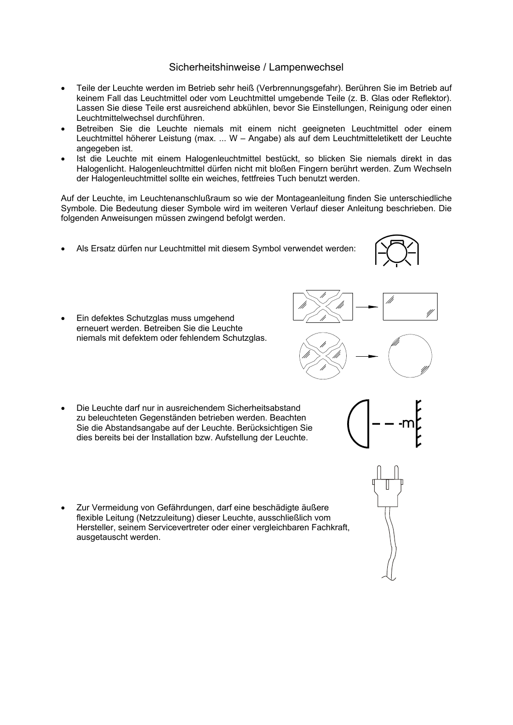#### Sicherheitshinweise / Lampenwechsel

- Teile der Leuchte werden im Betrieb sehr heiß (Verbrennungsgefahr). Berühren Sie im Betrieb auf keinem Fall das Leuchtmittel oder vom Leuchtmittel umgebende Teile (z. B. Glas oder Reflektor). Lassen Sie diese Teile erst ausreichend abkühlen, bevor Sie Einstellungen, Reinigung oder einen Leuchtmittelwechsel durchführen.
- Betreiben Sie die Leuchte niemals mit einem nicht geeigneten Leuchtmittel oder einem Leuchtmittel höherer Leistung (max. ... W – Angabe) als auf dem Leuchtmitteletikett der Leuchte angegeben ist.
- Ist die Leuchte mit einem Halogenleuchtmittel bestückt, so blicken Sie niemals direkt in das Halogenlicht. Halogenleuchtmittel dürfen nicht mit bloßen Fingern berührt werden. Zum Wechseln der Halogenleuchtmittel sollte ein weiches, fettfreies Tuch benutzt werden.

Auf der Leuchte, im Leuchtenanschlußraum so wie der Montageanleitung finden Sie unterschiedliche Symbole. Die Bedeutung dieser Symbole wird im weiteren Verlauf dieser Anleitung beschrieben. Die folgenden Anweisungen müssen zwingend befolgt werden.

• Als Ersatz dürfen nur Leuchtmittel mit diesem Symbol verwendet werden:



• Ein defektes Schutzglas muss umgehend erneuert werden. Betreiben Sie die Leuchte niemals mit defektem oder fehlendem Schutzglas.



• Zur Vermeidung von Gefährdungen, darf eine beschädigte äußere flexible Leitung (Netzzuleitung) dieser Leuchte, ausschließlich vom Hersteller, seinem Servicevertreter oder einer vergleichbaren Fachkraft, ausgetauscht werden.



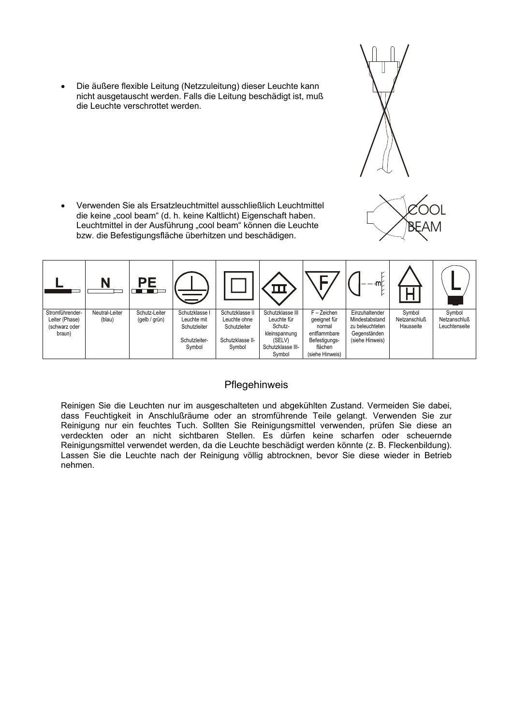• Die äußere flexible Leitung (Netzzuleitung) dieser Leuchte kann nicht ausgetauscht werden. Falls die Leitung beschädigt ist, muß die Leuchte verschrottet werden.



 $\mathcal{C}$ OOL BEAM

• Verwenden Sie als Ersatzleuchtmittel ausschließlich Leuchtmittel die keine "cool beam" (d. h. keine Kaltlicht) Eigenschaft haben. Leuchtmittel in der Ausführung "cool beam" können die Leuchte bzw. die Befestigungsfläche überhitzen und beschädigen.

|                                                              | N                        | ΡE                             |                                                                          |                                                                               |                                                                                                      |                                                                                                        |                                                                                        |                                            |                                         |
|--------------------------------------------------------------|--------------------------|--------------------------------|--------------------------------------------------------------------------|-------------------------------------------------------------------------------|------------------------------------------------------------------------------------------------------|--------------------------------------------------------------------------------------------------------|----------------------------------------------------------------------------------------|--------------------------------------------|-----------------------------------------|
| Stromführender-<br>Leiter (Phase)<br>(schwarz oder<br>braun) | Neutral-Leiter<br>(blau) | Schutz-Leiter<br>(gelb / grün) | Schutzklasse I<br>Leuchte mit<br>Schutzleiter<br>Schutzleiter-<br>Symbol | Schutzklasse II<br>Leuchte ohne<br>Schutzleiter<br>Schutzklasse II-<br>Symbol | Schutzklasse III<br>Leuchte für<br>Schutz-<br>kleinspannung<br>(SELV)<br>Schutzklasse III-<br>Symbol | $F - Zeichen$<br>geeignet für<br>normal<br>entflammbare<br>Befestigungs-<br>flächen<br>(siehe Hinweis) | Einzuhaltender<br>Mindestabstand<br>zu beleuchteten<br>Gegenständen<br>(siehe Hinweis) | Symbol<br><b>Netzanschluß</b><br>Hausseite | Symbol<br>Netzanschluß<br>Leuchtenseite |

#### Pflegehinweis

Reinigen Sie die Leuchten nur im ausgeschalteten und abgekühlten Zustand. Vermeiden Sie dabei, dass Feuchtigkeit in Anschlußräume oder an stromführende Teile gelangt. Verwenden Sie zur Reinigung nur ein feuchtes Tuch. Sollten Sie Reinigungsmittel verwenden, prüfen Sie diese an verdeckten oder an nicht sichtbaren Stellen. Es dürfen keine scharfen oder scheuernde Reinigungsmittel verwendet werden, da die Leuchte beschädigt werden könnte (z. B. Fleckenbildung). Lassen Sie die Leuchte nach der Reinigung völlig abtrocknen, bevor Sie diese wieder in Betrieb nehmen.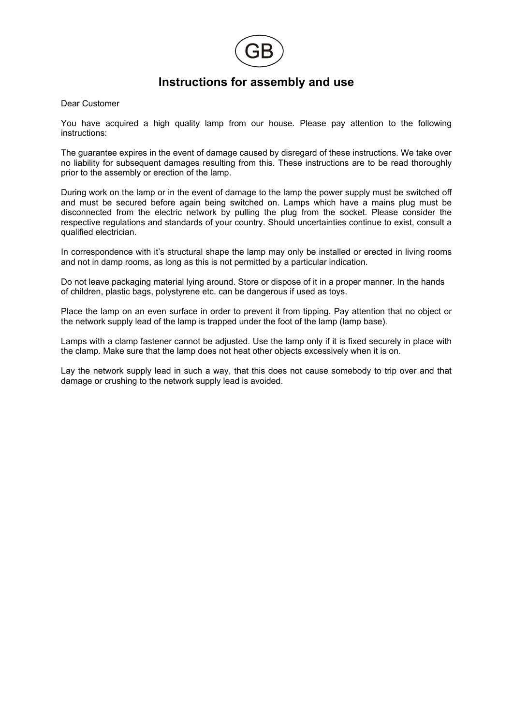

## **Instructions for assembly and use**

Dear Customer

You have acquired a high quality lamp from our house. Please pay attention to the following instructions:

The guarantee expires in the event of damage caused by disregard of these instructions. We take over no liability for subsequent damages resulting from this. These instructions are to be read thoroughly prior to the assembly or erection of the lamp.

During work on the lamp or in the event of damage to the lamp the power supply must be switched off and must be secured before again being switched on. Lamps which have a mains plug must be disconnected from the electric network by pulling the plug from the socket. Please consider the respective regulations and standards of your country. Should uncertainties continue to exist, consult a qualified electrician.

In correspondence with it's structural shape the lamp may only be installed or erected in living rooms and not in damp rooms, as long as this is not permitted by a particular indication.

Do not leave packaging material lying around. Store or dispose of it in a proper manner. In the hands of children, plastic bags, polystyrene etc. can be dangerous if used as toys.

Place the lamp on an even surface in order to prevent it from tipping. Pay attention that no object or the network supply lead of the lamp is trapped under the foot of the lamp (lamp base).

Lamps with a clamp fastener cannot be adjusted. Use the lamp only if it is fixed securely in place with the clamp. Make sure that the lamp does not heat other objects excessively when it is on.

Lay the network supply lead in such a way, that this does not cause somebody to trip over and that damage or crushing to the network supply lead is avoided.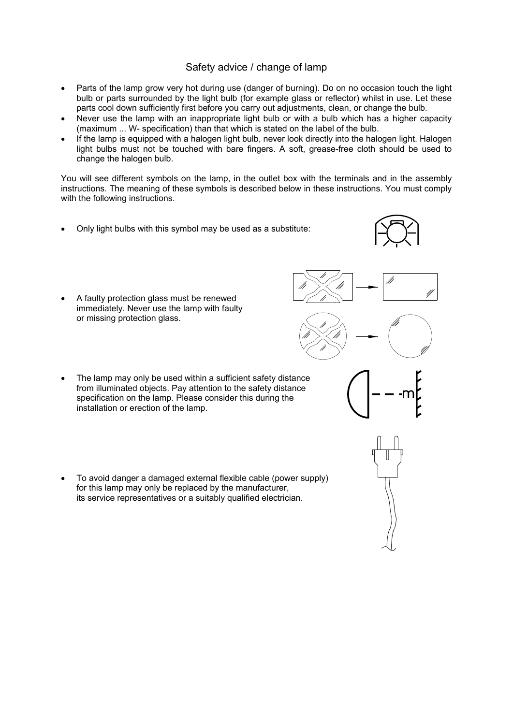### Safety advice / change of lamp

- Parts of the lamp grow very hot during use (danger of burning). Do on no occasion touch the light bulb or parts surrounded by the light bulb (for example glass or reflector) whilst in use. Let these parts cool down sufficiently first before you carry out adjustments, clean, or change the bulb.
- Never use the lamp with an inappropriate light bulb or with a bulb which has a higher capacity (maximum ... W- specification) than that which is stated on the label of the bulb.
- If the lamp is equipped with a halogen light bulb, never look directly into the halogen light. Halogen light bulbs must not be touched with bare fingers. A soft, grease-free cloth should be used to change the halogen bulb.

You will see different symbols on the lamp, in the outlet box with the terminals and in the assembly instructions. The meaning of these symbols is described below in these instructions. You must comply with the following instructions.

- Only light bulbs with this symbol may be used as a substitute:
- A faulty protection glass must be renewed immediately. Never use the lamp with faulty or missing protection glass.
- The lamp may only be used within a sufficient safety distance from illuminated objects. Pay attention to the safety distance specification on the lamp. Please consider this during the installation or erection of the lamp.
- To avoid danger a damaged external flexible cable (power supply) for this lamp may only be replaced by the manufacturer, its service representatives or a suitably qualified electrician.





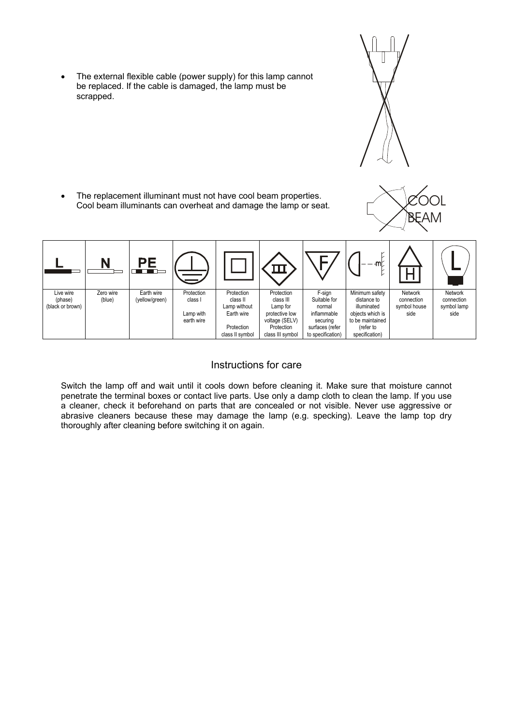• The external flexible cable (power supply) for this lamp cannot be replaced. If the cable is damaged, the lamp must be scrapped.



 $\mathcal{C}$ OOL BEAM

The replacement illuminant must not have cool beam properties. Cool beam illuminants can overheat and damage the lamp or seat.

|                                          |                     | PE                           |                                                  |                                                                                       |                                                                                                           |                                                                                                     | -ml                                                                                                                 |                                               |                                              |
|------------------------------------------|---------------------|------------------------------|--------------------------------------------------|---------------------------------------------------------------------------------------|-----------------------------------------------------------------------------------------------------------|-----------------------------------------------------------------------------------------------------|---------------------------------------------------------------------------------------------------------------------|-----------------------------------------------|----------------------------------------------|
| Live wire<br>(phase)<br>(black or brown) | Zero wire<br>(blue) | Earth wire<br>(yellow/green) | Protection<br>class I<br>Lamp with<br>earth wire | Protection<br>class II<br>Lamp without<br>Earth wire<br>Protection<br>class II symbol | Protection<br>class III<br>Lamp for<br>protective low<br>voltage (SELV)<br>Protection<br>class III symbol | F-sign<br>Suitable for<br>normal<br>inflammable<br>securing<br>surfaces (refer<br>to specification) | Minimum safety<br>distance to<br>illuminated<br>objects which is<br>to be maintained<br>(refer to<br>specification) | Network<br>connection<br>symbol house<br>side | Network<br>connection<br>symbol lamp<br>side |

#### Instructions for care

Switch the lamp off and wait until it cools down before cleaning it. Make sure that moisture cannot penetrate the terminal boxes or contact live parts. Use only a damp cloth to clean the lamp. If you use a cleaner, check it beforehand on parts that are concealed or not visible. Never use aggressive or abrasive cleaners because these may damage the lamp (e.g. specking). Leave the lamp top dry thoroughly after cleaning before switching it on again.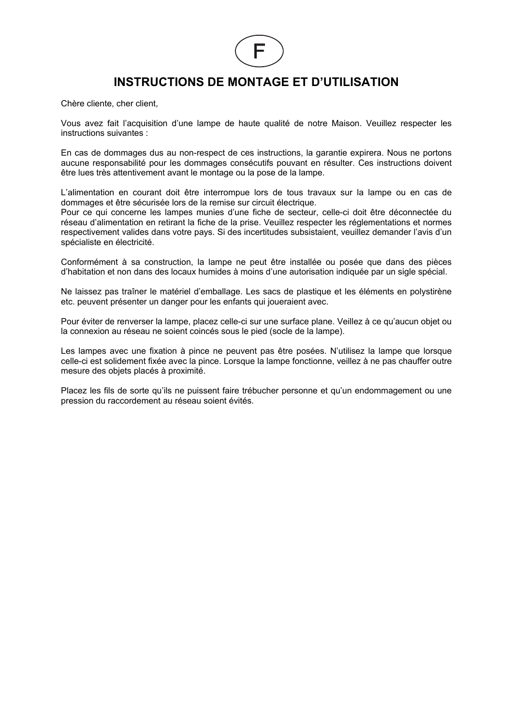

# **INSTRUCTIONS DE MONTAGE ET D'UTILISATION**

Chère cliente, cher client,

Vous avez fait l'acquisition d'une lampe de haute qualité de notre Maison. Veuillez respecter les instructions suivantes :

En cas de dommages dus au non-respect de ces instructions, la garantie expirera. Nous ne portons aucune responsabilité pour les dommages consécutifs pouvant en résulter. Ces instructions doivent être lues très attentivement avant le montage ou la pose de la lampe.

L'alimentation en courant doit être interrompue lors de tous travaux sur la lampe ou en cas de dommages et être sécurisée lors de la remise sur circuit électrique.

Pour ce qui concerne les lampes munies d'une fiche de secteur, celle-ci doit être déconnectée du réseau d'alimentation en retirant la fiche de la prise. Veuillez respecter les réglementations et normes respectivement valides dans votre pays. Si des incertitudes subsistaient, veuillez demander l'avis d'un spécialiste en électricité.

Conformément à sa construction, la lampe ne peut être installée ou posée que dans des pièces d'habitation et non dans des locaux humides à moins d'une autorisation indiquée par un sigle spécial.

Ne laissez pas traîner le matériel d'emballage. Les sacs de plastique et les éléments en polystirène etc. peuvent présenter un danger pour les enfants qui joueraient avec.

Pour éviter de renverser la lampe, placez celle-ci sur une surface plane. Veillez à ce qu'aucun objet ou la connexion au réseau ne soient coincés sous le pied (socle de la lampe).

Les lampes avec une fixation à pince ne peuvent pas être posées. N'utilisez la lampe que lorsque celle-ci est solidement fixée avec la pince. Lorsque la lampe fonctionne, veillez à ne pas chauffer outre mesure des objets placés à proximité.

Placez les fils de sorte qu'ils ne puissent faire trébucher personne et qu'un endommagement ou une pression du raccordement au réseau soient évités.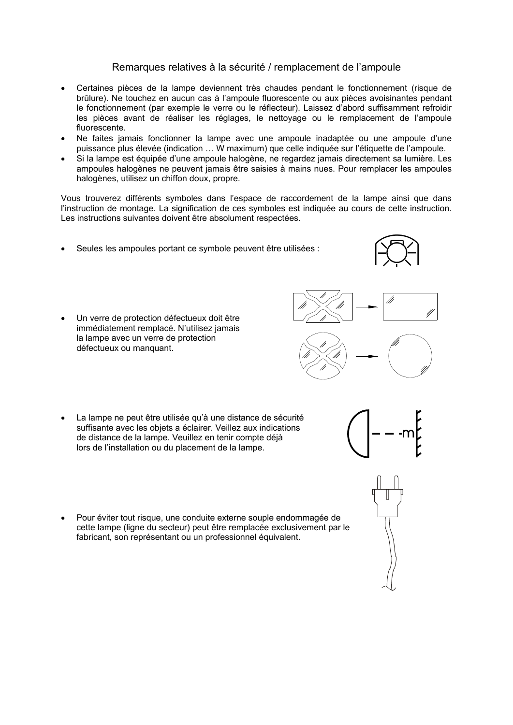#### Remarques relatives à la sécurité / remplacement de l'ampoule

- Certaines pièces de la lampe deviennent très chaudes pendant le fonctionnement (risque de brûlure). Ne touchez en aucun cas à l'ampoule fluorescente ou aux pièces avoisinantes pendant le fonctionnement (par exemple le verre ou le réflecteur). Laissez d'abord suffisamment refroidir les pièces avant de réaliser les réglages, le nettoyage ou le remplacement de l'ampoule fluorescente.
- Ne faites jamais fonctionner la lampe avec une ampoule inadaptée ou une ampoule d'une puissance plus élevée (indication … W maximum) que celle indiquée sur l'étiquette de l'ampoule.
- Si la lampe est équipée d'une ampoule halogène, ne regardez jamais directement sa lumière. Les ampoules halogènes ne peuvent jamais être saisies à mains nues. Pour remplacer les ampoules halogènes, utilisez un chiffon doux, propre.

Vous trouverez différents symboles dans l'espace de raccordement de la lampe ainsi que dans l'instruction de montage. La signification de ces symboles est indiquée au cours de cette instruction. Les instructions suivantes doivent être absolument respectées.

Seules les ampoules portant ce symbole peuvent être utilisées :



• Un verre de protection défectueux doit être immédiatement remplacé. N'utilisez jamais la lampe avec un verre de protection défectueux ou manquant.



La lampe ne peut être utilisée qu'à une distance de sécurité suffisante avec les objets a éclairer. Veillez aux indications de distance de la lampe. Veuillez en tenir compte déjà lors de l'installation ou du placement de la lampe.





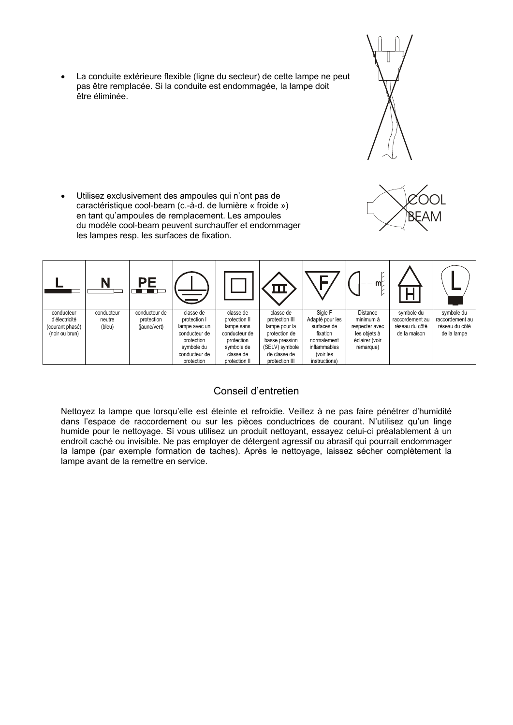La conduite extérieure flexible (ligne du secteur) de cette lampe ne peut pas être remplacée. Si la conduite est endommagée, la lampe doit être éliminée.





• Utilisez exclusivement des ampoules qui n'ont pas de caractéristique cool-beam (c.-à-d. de lumière « froide ») en tant qu'ampoules de remplacement. Les ampoules du modèle cool-beam peuvent surchauffer et endommager les lampes resp. les surfaces de fixation.

|                                                                  |                                | ΡF                                          |                                                                                                          |                                                                                                    |                                                                                                                   |                                                                                                   |                                                                                        |                                                                 |                                                                |
|------------------------------------------------------------------|--------------------------------|---------------------------------------------|----------------------------------------------------------------------------------------------------------|----------------------------------------------------------------------------------------------------|-------------------------------------------------------------------------------------------------------------------|---------------------------------------------------------------------------------------------------|----------------------------------------------------------------------------------------|-----------------------------------------------------------------|----------------------------------------------------------------|
| conducteur<br>d'électricité<br>(courant phasé)<br>(noir ou brun) | conducteur<br>neutre<br>(bleu) | conducteur de<br>protection<br>(jaune/vert) | classe de<br>protection I<br>lampe avec un<br>conducteur de<br>protection<br>symbole du<br>conducteur de | classe de<br>protection II<br>lampe sans<br>conducteur de<br>protection<br>symbole de<br>classe de | classe de<br>protection III<br>lampe pour la<br>protection de<br>basse pression<br>(SELV) symbole<br>de classe de | Sigle F<br>Adapté pour les<br>surfaces de<br>fixation<br>normalement<br>inflammables<br>(voir les | Distance<br>minimum à<br>respecter avec<br>les objets à<br>éclairer (voir<br>remarque) | symbole du<br>raccordement au<br>réseau du côté<br>de la maison | symbole du<br>raccordement au<br>réseau du côté<br>de la lampe |

#### Conseil d'entretien

Nettoyez la lampe que lorsqu'elle est éteinte et refroidie. Veillez à ne pas faire pénétrer d'humidité dans l'espace de raccordement ou sur les pièces conductrices de courant. N'utilisez qu'un linge humide pour le nettoyage. Si vous utilisez un produit nettoyant, essayez celui-ci préalablement à un endroit caché ou invisible. Ne pas employer de détergent agressif ou abrasif qui pourrait endommager la lampe (par exemple formation de taches). Après le nettoyage, laissez sécher complètement la lampe avant de la remettre en service.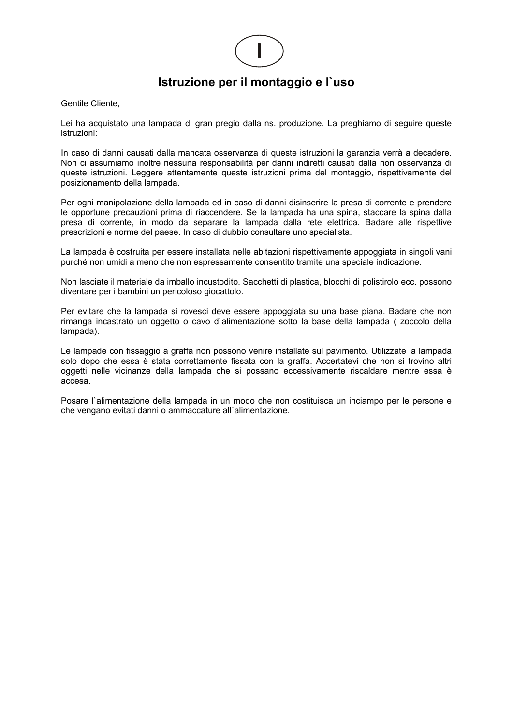# **Istruzione per il montaggio e l`uso**

Gentile Cliente,

Lei ha acquistato una lampada di gran pregio dalla ns. produzione. La preghiamo di seguire queste istruzioni:

In caso di danni causati dalla mancata osservanza di queste istruzioni la garanzia verrà a decadere. Non ci assumiamo inoltre nessuna responsabilità per danni indiretti causati dalla non osservanza di queste istruzioni. Leggere attentamente queste istruzioni prima del montaggio, rispettivamente del posizionamento della lampada.

Per ogni manipolazione della lampada ed in caso di danni disinserire la presa di corrente e prendere le opportune precauzioni prima di riaccendere. Se la lampada ha una spina, staccare la spina dalla presa di corrente, in modo da separare la lampada dalla rete elettrica. Badare alle rispettive prescrizioni e norme del paese. In caso di dubbio consultare uno specialista.

La lampada è costruita per essere installata nelle abitazioni rispettivamente appoggiata in singoli vani purché non umidi a meno che non espressamente consentito tramite una speciale indicazione.

Non lasciate il materiale da imballo incustodito. Sacchetti di plastica, blocchi di polistirolo ecc. possono diventare per i bambini un pericoloso giocattolo.

Per evitare che la lampada si rovesci deve essere appoggiata su una base piana. Badare che non rimanga incastrato un oggetto o cavo d`alimentazione sotto la base della lampada ( zoccolo della lampada).

Le lampade con fissaggio a graffa non possono venire installate sul pavimento. Utilizzate la lampada solo dopo che essa è stata correttamente fissata con la graffa. Accertatevi che non si trovino altri oggetti nelle vicinanze della lampada che si possano eccessivamente riscaldare mentre essa è accesa.

Posare l`alimentazione della lampada in un modo che non costituisca un inciampo per le persone e che vengano evitati danni o ammaccature all`alimentazione.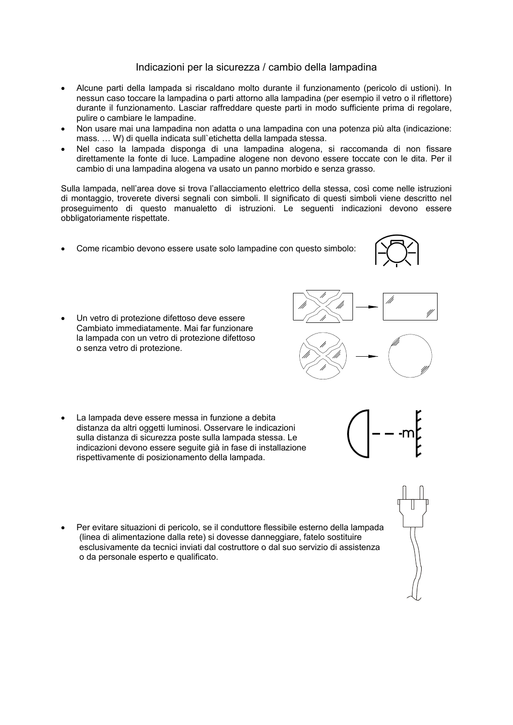#### Indicazioni per la sicurezza / cambio della lampadina

- Alcune parti della lampada si riscaldano molto durante il funzionamento (pericolo di ustioni). In nessun caso toccare la lampadina o parti attorno alla lampadina (per esempio il vetro o il riflettore) durante il funzionamento. Lasciar raffreddare queste parti in modo sufficiente prima di regolare, pulire o cambiare le lampadine.
- Non usare mai una lampadina non adatta o una lampadina con una potenza più alta (indicazione: mass. … W) di quella indicata sull`etichetta della lampada stessa.
- Nel caso la lampada disponga di una lampadina alogena, si raccomanda di non fissare direttamente la fonte di luce. Lampadine alogene non devono essere toccate con le dita. Per il cambio di una lampadina alogena va usato un panno morbido e senza grasso.

Sulla lampada, nell'area dove si trova l'allacciamento elettrico della stessa, così come nelle istruzioni di montaggio, troverete diversi segnali con simboli. Il significato di questi simboli viene descritto nel proseguimento di questo manualetto di istruzioni. Le seguenti indicazioni devono essere obbligatoriamente rispettate.

• Come ricambio devono essere usate solo lampadine con questo simbolo:



• Un vetro di protezione difettoso deve essere Cambiato immediatamente. Mai far funzionare la lampada con un vetro di protezione difettoso o senza vetro di protezione.



La lampada deve essere messa in funzione a debita distanza da altri oggetti luminosi. Osservare le indicazioni sulla distanza di sicurezza poste sulla lampada stessa. Le indicazioni devono essere seguite già in fase di installazione rispettivamente di posizionamento della lampada.



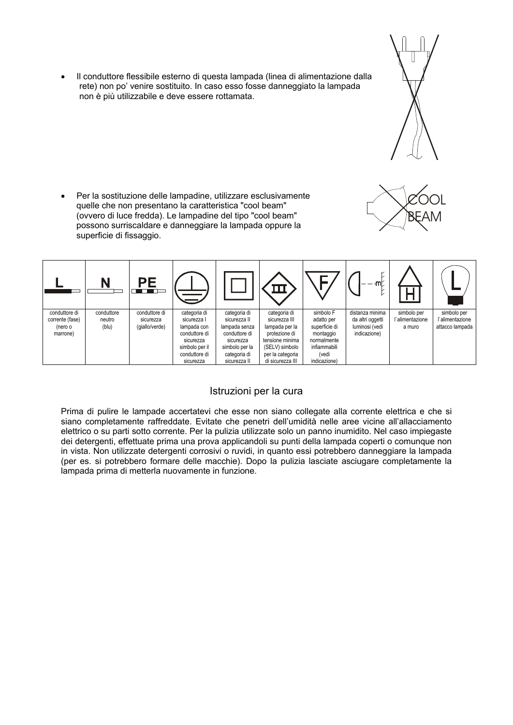• Il conduttore flessibile esterno di questa lampada (linea di alimentazione dalla rete) non po' venire sostituito. In caso esso fosse danneggiato la lampada non è più utilizzabile e deve essere rottamata.



 $\mathcal{C}$ OOL **BEAM** 



• Per la sostituzione delle lampadine, utilizzare esclusivamente quelle che non presentano la caratteristica "cool beam" (ovvero di luce fredda). Le lampadine del tipo "cool beam" possono surriscaldare e danneggiare la lampada oppure la superficie di fissaggio.

|                                                         |                               | ΡF                                           |                                                                                                             |                                                                                                               |                                                                                                                           |                                                                                               | -ml                                                                   |                                          |                                                   |
|---------------------------------------------------------|-------------------------------|----------------------------------------------|-------------------------------------------------------------------------------------------------------------|---------------------------------------------------------------------------------------------------------------|---------------------------------------------------------------------------------------------------------------------------|-----------------------------------------------------------------------------------------------|-----------------------------------------------------------------------|------------------------------------------|---------------------------------------------------|
| conduttore di<br>corrente (fase)<br>(nero o<br>marrone) | conduttore<br>neutro<br>(blu) | conduttore di<br>sicurezza<br>(giallo/verde) | categoria di<br>sicurezza l<br>lampada con<br>conduttore di<br>sicurezza<br>simbolo per il<br>conduttore di | categoria di<br>sicurezza II<br>lampada senza<br>conduttore di<br>sicurezza<br>simbolo per la<br>categoria di | categoria di<br>sicurezza III<br>lampada per la<br>protezione di<br>tensione minima<br>(SELV) simbolo<br>per la categoria | simbolo F<br>adatto per<br>superficie di<br>montaggio<br>normalmente<br>infiammabili<br>(vedi | distanza minima<br>da altri oggetti<br>luminosi (vedi<br>indicazione) | simbolo per<br>l'alimentazione<br>a muro | simbolo per<br>l'alimentazione<br>attacco lampada |
|                                                         |                               |                                              | sicurezza                                                                                                   | sicurezza II                                                                                                  | di sicurezza III                                                                                                          | indicazione)                                                                                  |                                                                       |                                          |                                                   |

#### Istruzioni per la cura

Prima di pulire le lampade accertatevi che esse non siano collegate alla corrente elettrica e che si siano completamente raffreddate. Evitate che penetri dell'umidità nelle aree vicine all'allacciamento elettrico o su parti sotto corrente. Per la pulizia utilizzate solo un panno inumidito. Nel caso impiegaste dei detergenti, effettuate prima una prova applicandoli su punti della lampada coperti o comunque non in vista. Non utilizzate detergenti corrosivi o ruvidi, in quanto essi potrebbero danneggiare la lampada (per es. si potrebbero formare delle macchie). Dopo la pulizia lasciate asciugare completamente la lampada prima di metterla nuovamente in funzione.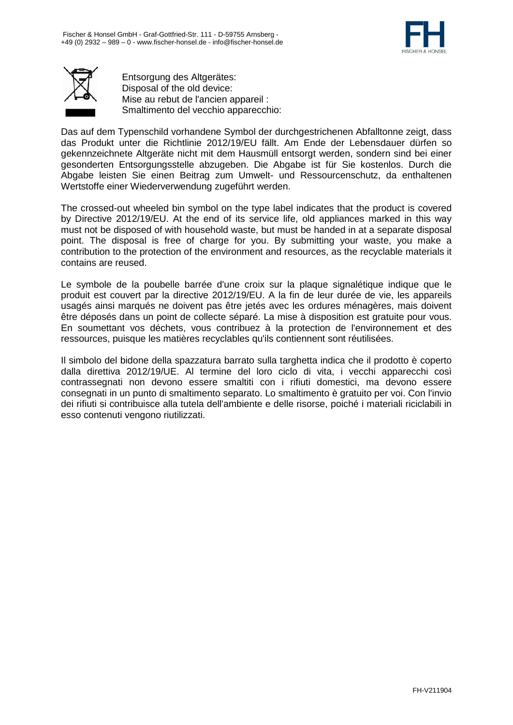



Entsorgung des Altgerätes: Disposal of the old device: Mise au rebut de l'ancien appareil : Smaltimento del vecchio apparecchio:

Das auf dem Typenschild vorhandene Symbol der durchgestrichenen Abfalltonne zeigt, dass das Produkt unter die Richtlinie 2012/19/EU fällt. Am Ende der Lebensdauer dürfen so gekennzeichnete Altgeräte nicht mit dem Hausmüll entsorgt werden, sondern sind bei einer gesonderten Entsorgungsstelle abzugeben. Die Abgabe ist für Sie kostenlos. Durch die Abgabe leisten Sie einen Beitrag zum Umwelt- und Ressourcenschutz, da enthaltenen Wertstoffe einer Wiederverwendung zugeführt werden.

The crossed-out wheeled bin symbol on the type label indicates that the product is covered by Directive 2012/19/EU. At the end of its service life, old appliances marked in this way must not be disposed of with household waste, but must be handed in at a separate disposal point. The disposal is free of charge for you. By submitting your waste, you make a contribution to the protection of the environment and resources, as the recyclable materials it contains are reused.

Le symbole de la poubelle barrée d'une croix sur la plaque signalétique indique que le produit est couvert par la directive 2012/19/EU. A la fin de leur durée de vie, les appareils usagés ainsi marqués ne doivent pas être jetés avec les ordures ménagères, mais doivent être déposés dans un point de collecte séparé. La mise à disposition est gratuite pour vous. En soumettant vos déchets, vous contribuez à la protection de l'environnement et des ressources, puisque les matières recyclables qu'ils contiennent sont réutilisées.

Il simbolo del bidone della spazzatura barrato sulla targhetta indica che il prodotto è coperto dalla direttiva 2012/19/UE. Al termine del loro ciclo di vita, i vecchi apparecchi così contrassegnati non devono essere smaltiti con i rifiuti domestici, ma devono essere consegnati in un punto di smaltimento separato. Lo smaltimento è gratuito per voi. Con l'invio dei rifiuti si contribuisce alla tutela dell'ambiente e delle risorse, poiché i materiali riciclabili in esso contenuti vengono riutilizzati.